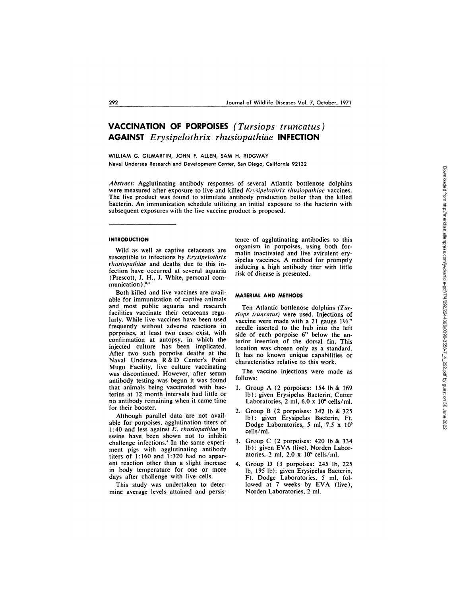# **VACCINATION OF PORPOISES** *(Tursiops truncatus)* **AGAINST** *Erysipeloth rix rhusiopathiae* **INFECTION**

WILLIAM G. GILMARTIN, JOHN F. ALLEN, SAM H. RIDGWAY Naval Undersea Research and Development Center, San Diego, California 92132

Abstract: Agglutinating antibody responses of several Atlantic bottlenose dolphins were measured after exposure to live and killed *Erysipelothrix rhusiopathiae* vaccines. The live product was found to stimulate antibody production better than the killed bacterin. An immunization schedule utilizing an initial exposure to the bacterin with subsequent exposures with the live vaccine product is proposed.

## **INTRODUCTION**

Wild as well as captive cetaceans are susceptible to infections by *Erysipelothrix -husiopathiae* and deaths due to this infection have occurred at several aquaria (Prescott, J. H., J. White, personal com munication).<sup>8,5</sup>

Both killed and live vaccines are available for immunization of captive animals and most public aquaria and research facilities vaccinate their cetaceans regularly. While live vaccines have been used frequently without adverse reactions in pQrpoises, at least two cases exist, with confirmation at autopsy, in which the injected culture has been implicated. After two such porpoise deaths at the Naval Undersea R & D Center's Point Mugu Facility, live culture vaccinating was discontinued. However, after serum antibody testing was begun it was found that animals being vaccinated with bacterins at 12 month intervals had little or no antibody remaining when it came time for their booster.

Although parallel data are not available for porpoises, agglutination titers of 1:40 and less against *E. r/iusiopathiae* in swine have been shown not to inhibit challenge infections.4 In the same experi ment pigs with agglutinating antibody titers of 1:160 and 1:320 had no appar ent reaction other than a slight increase in body temperature for one or more days after challenge with live cells.

This study was undertaken to determine average levels attained and persistence of agglutinating antibodies to this organism in porpoises, using both formalin inactivated and live avirulent erysipelas vaccines. A method for promptly inducing a high antibody titer with little risk of disease is presented.

#### **MATERIAL AND METHODS**

Ten Atlantic bottlenose dolphins *(Tursiops truncatus)* were used. Injections of vaccine were made with a 21 gauge  $1\frac{1}{2}$ " needle inserted to the hub into the left side of each porpoise 6" below the anterior insertion of the dorsal fin. This location was chosen only as a standard. **It** has no known unique capabilities or characteristics relative to this work.

The vaccine injections were made as follows:

- 1. Group A (2porpoises: 154 lb **&** 169 Ib); given Erysipelas Bacterin, Cutter Laboratories, 2 ml, 6.0 x 10<sup>°</sup> cells/ml.
- 2. Group B (2 porpoises: 342 lb & 325 Ib): given Erysipelas Bacterin, Ft. Dodge Laboratories, 5 ml, 7.5  $\times$  10 $^{\circ}$ cells/ml.
- 3. Group C (2 porpoises: 420 lb **&** 334 lb): given EVA (live), Norden Laboratories, 2 ml,  $2.0 \times 10^8$  cells/ml.
- 4. Group D (3 porpoises: 245 lb, 225 Ib, 195 lb): given Erysipelas Bacterin, Ft. Dodge Laboratories, 5 ml, followed at 7 weeks by EVA (live), Norden Laboratories, 2 ml.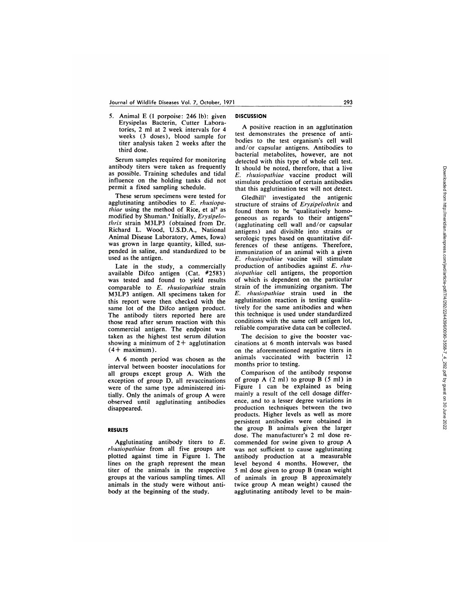*5.* Animal E (1 porpoise: 246 lb): given Erysipelas Bacterin, Cutter Laboratories, 2 mlat 2 week intervals for 4 weeks (3 doses), blood sample for titer analysis taken 2 weeks after the third dose.

Serum samples required for monitoring antibody titers were taken as frequently as possible. Training schedules and tidal influence on the holding tanks did not permit a fixed sampling schedule.

These serum specimens were tested for agglutinating antibodies to E. *rhusiopathiae* using the method of Rice, et al<sup>2</sup> as modified by Shuman.4 Initially, *Erysipelot/irix* strain M3LP3 (obtained from Dr. Richard L. Wood, U.S.D.A., National Animal Disease Laboratory, Ames, Iowa) was grown in large quantity, killed, sus pended in saline, and standardized to be used as the antigen.

Late in the study, a commercially available Difco antigen (Cat. #2583) was tested and found to yield results comparable to *E. rhusiopathiae* strain M3LP3 antigen. All specimens taken for this report were then checked with the same lot of the Difco antigen product. The antibody titers reported here are those read after serum reaction with this commercial antigen. The endpoint was taken as the highest test serum dilution showing a minimum of  $2+$  agglutination  $(4 + maximum)$ .

A 6 month period was chosen as the interval between booster inoculations for all groups except group A. With the exception of group D, all revaccinations were of the same type administered initially. Only the animals of group A were observed until agglutinating antibodies disappeared.

# **RESULTS**

Agglutinating antibody titers to *E. rhusiopat/iiae* from all five groups are plotted against time in Figure 1. The lines on the graph represent the mean titer of the animals in the respective groups at the various sampling times. All animals in the study were without antibody at the beginning of the study.

## **DISCUSSION**

A positive reaction in an agglutination test demonstrates the presence of antibodies to the test organism's cell wall and/or capsular antigens. Antibodies to bacterial metabolites, however, are not detected with this type of whole cell test. It should be noted, therefore, that a live *E. r/iusiopaz/iiae* vaccine product will stimulate production of certain antibodies that this agglutination test will not detect.

Gledhill' investigated the antigenic structure of strains of *Erysipelothrix* and found them to be "qualitatively homogeneous as regards to their antigens" (agglutinating cell wall and/or capsular antigens) and divisible into strains or serologic types based on quantitative differences of these antigens. Therefore, immunization of an animal with a given *E. r/iusiopat/iiae* vaccine will stimulate production of antibodies against *E. rhu siopat/iiae* cell antigens, the proportion of which is dependent on the particular strain of the immunizing organism. The *E. r/iusiopat/iiae* strain used in the agglutination reaction is testing qualitatively for the same antibodies and when this technique is used under standardized conditions with the same cell antigen lot, reliable comparative data can be collected.

The decision to give the booster vac cinations at 6 month intervals was based on the aforementioned negative titers in animals vaccinated with bacterin 12 months prior to testing.

Comparison of the antibody response of group  $A(2 \text{ ml})$  to group  $B(5 \text{ ml})$  in Figure 1 can be explained as being mainly a result of the cell dosage differ ence, and to a lesser degree variations in production techniques between the two products. Higher levels as well as more persistent antibodies were obtained in the group B animals given the larger dose. The manufacturer's 2 ml dose recommended for swine given to group A was not sufficient to cause agglutinating antibody production at a measurable level beyond 4 months. However, the 5 ml dose given to group B (mean weight of animals in group B approximately twice group A mean weight) caused the agglutinating antibody level to be main-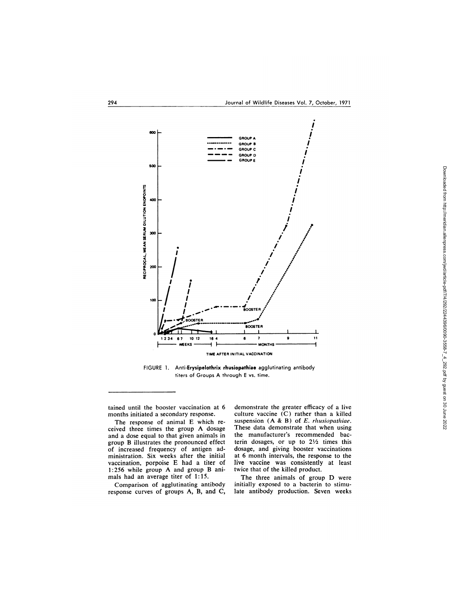

FIGURE 1. Anti-Erysipelothrix rhusiopathiae agglutinating antibody titers of Groups A through E vs. time.

tained until the booster vaccination at 6 months initiated a secondary response.

The response of animal E which re ceived three times the group A dosage and a dose equal to that given animals in group B illustrates the pronounced effect of increased frequency of antigen administration. Six weeks after the initial vaccination, porpoise E had a titer of 1:256 while group A and group B animals had an average titer of 1: 15.

Comparison of agglutinating antibody response curves of groups A, B, and C,

demonstrate the greater efficacy of a live culture vaccine (C) rather than a killed suspension (A & B) of *E. rhusiopathiae*. These data demonstrate that when using the manufacturer's recommended bacterin dosages, or up to  $2\frac{1}{2}$  times this dosage, and giving booster vaccinations at 6 month intervals, the response to the live vaccine was consistently at least twice that of the killed product.

The three animals of group D were initially exposed to a bacterin to stimulate antibody production. Seven weeks